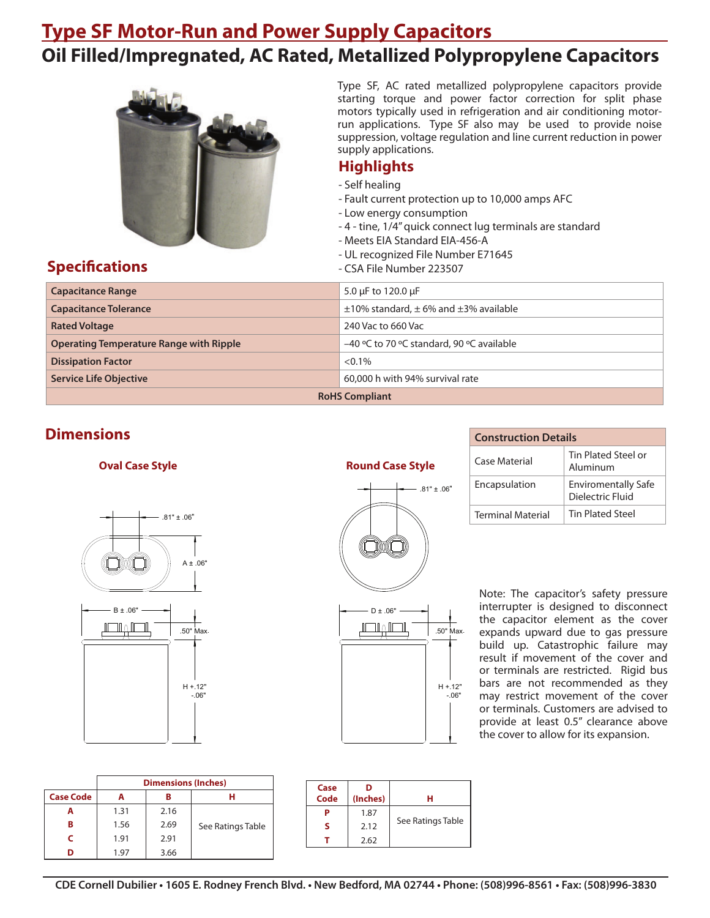# **Type SF Motor-Run and Power Supply Capacitors Oil Filled/Impregnated, AC Rated, Metallized Polypropylene Capacitors**



Type SF, AC rated metallized polypropylene capacitors provide starting torque and power factor correction for split phase motors typically used in refrigeration and air conditioning motorrun applications. Type SF also may be used to provide noise suppression, voltage regulation and line current reduction in power supply applications.

### **Highlights**

- Self healing
- Fault current protection up to 10,000 amps AFC
- Low energy consumption
- 4 tine, 1/4" quick connect lug terminals are standard
- Meets EIA Standard EIA-456-A
- UL recognized File Number E71645
- **Specifications Specifications CSA File Number 223507**

 **Round Case Style**

 $-81" + 06"$ 

H +.12" -.06"

± .06"

| <b>Capacitance Range</b>                       | 5.0 $\mu$ F to 120.0 $\mu$ F                        |  |  |  |
|------------------------------------------------|-----------------------------------------------------|--|--|--|
| <b>Capacitance Tolerance</b>                   | $\pm$ 10% standard, $\pm$ 6% and $\pm$ 3% available |  |  |  |
| <b>Rated Voltage</b>                           | 240 Vac to 660 Vac                                  |  |  |  |
| <b>Operating Temperature Range with Ripple</b> | -40 °C to 70 °C standard, 90 °C available           |  |  |  |
| <b>Dissipation Factor</b>                      | $< 0.1\%$                                           |  |  |  |
| <b>Service Life Objective</b>                  | 60,000 h with 94% survival rate                     |  |  |  |
| <b>RoHS Compliant</b>                          |                                                     |  |  |  |

## **Dimensions**

#### **Oval Case Style**





|                  | <b>Dimensions (Inches)</b> |      |                   |  |  |  |  |
|------------------|----------------------------|------|-------------------|--|--|--|--|
| <b>Case Code</b> |                            | в    |                   |  |  |  |  |
|                  | 1.31                       | 2.16 |                   |  |  |  |  |
| в                | 1.56                       | 2.69 | See Ratings Table |  |  |  |  |
|                  | 1.91                       | 2.91 |                   |  |  |  |  |
|                  | 1.97                       | 3.66 |                   |  |  |  |  |

| Case<br>Code | D<br>(Inches) |                   |
|--------------|---------------|-------------------|
|              | 1.87          |                   |
| ς            | 2.12          | See Ratings Table |
|              | 2.62          |                   |

| <b>Construction Details</b> |                                                |  |  |  |  |
|-----------------------------|------------------------------------------------|--|--|--|--|
| Case Material               | Tin Plated Steel or<br>Aluminum                |  |  |  |  |
| Encapsulation               | <b>Enviromentally Safe</b><br>Dielectric Fluid |  |  |  |  |
| <b>Terminal Material</b>    | <b>Tin Plated Steel</b>                        |  |  |  |  |

Note: The capacitor's safety pressure interrupter is designed to disconnect the capacitor element as the cover expands upward due to gas pressure build up. Catastrophic failure may result if movement of the cover and or terminals are restricted. Rigid bus bars are not recommended as they may restrict movement of the cover or terminals. Customers are advised to provide at least 0.5" clearance above the cover to allow for its expansion.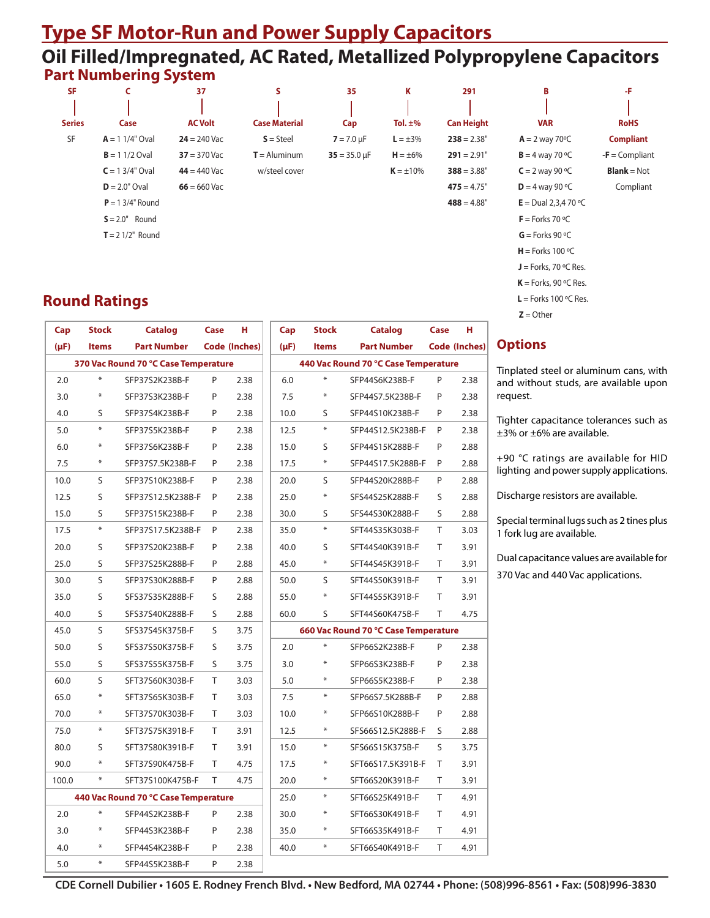## **Type SF Motor-Run and Power Supply Capacitors Oil Filled/Impregnated, AC Rated, Metallized Polypropylene Capacitors Part Numbering System**

|               | -                  |                |                      |                   |                |                   |                             |                      |
|---------------|--------------------|----------------|----------------------|-------------------|----------------|-------------------|-----------------------------|----------------------|
| <b>SF</b>     | C                  | 37             | s                    | 35                | Κ              | 291               | B                           | -F                   |
|               |                    |                |                      |                   |                |                   |                             |                      |
| <b>Series</b> | Case               | <b>AC Volt</b> | <b>Case Material</b> | Cap               | Tol. $\pm\%$   | <b>Can Height</b> | <b>VAR</b>                  | <b>RoHS</b>          |
| SF            | $A = 11/4"$ Oval   | $24 = 240$ Vac | $S = Steel$          | $7 = 7.0 \mu F$   | $L = \pm 3\%$  | $238 = 2.38"$     | $A = 2$ way 70 $\degree$ C  | <b>Compliant</b>     |
|               | $B = 11/2$ Oval    | $37 = 370$ Vac | $T =$ Aluminum       | $35 = 35.0 \mu F$ | $H = \pm 6\%$  | $291 = 2.91"$     | $B = 4$ way 70 °C           | $-F =$ Compliant     |
|               | $C = 13/4"$ Oval   | $44 = 440$ Vac | w/steel cover        |                   | $K = \pm 10\%$ | $388 = 3.88$ "    | $C = 2$ way 90 °C           | <b>Blank</b> = $Not$ |
|               | $D = 2.0"$ Oval    | $66 = 660$ Vac |                      |                   |                | $475 = 4.75"$     | $D = 4$ way 90 °C           | Compliant            |
|               | $P = 13/4"$ Round  |                |                      |                   |                | $488 = 4.88$ "    | <b>E</b> = Dual 2,3,4 70 °C |                      |
|               | $S = 2.0"$ Round   |                |                      |                   |                |                   | $F =$ Forks 70 °C           |                      |
|               | $T = 21/2$ " Round |                |                      |                   |                |                   | $G =$ Forks 90 °C           |                      |
|               |                    |                |                      |                   |                |                   | $H =$ Forks 100 °C          |                      |
|               |                    |                |                      |                   |                |                   | $J =$ Forks, 70 °C Res.     |                      |

## **Round Ratings**

| Cap       | <b>Stock</b>                         | <b>Catalog</b>                       | Case | н                    | Cap                                  | <b>Stock</b> | <b>Catalog</b>                       | Case         | н             |
|-----------|--------------------------------------|--------------------------------------|------|----------------------|--------------------------------------|--------------|--------------------------------------|--------------|---------------|
| $(\mu F)$ | <b>Items</b>                         | <b>Part Number</b>                   |      | <b>Code (Inches)</b> | (µF)                                 | <b>Items</b> | <b>Part Number</b>                   |              | Code (Inches) |
|           | 370 Vac Round 70 °C Case Temperature |                                      |      |                      | 440 Vac Round 70 °C Case Temperature |              |                                      |              |               |
| 2.0       | $\ast$                               | SFP37S2K238B-F                       | P    | 2.38                 | 6.0                                  | $\ast$       | SFP44S6K238B-F                       | P            | 2.38          |
| 3.0       | $\ast$                               | SFP37S3K238B-F                       | P    | 2.38                 | 7.5                                  | $\ast$       | SFP44S7.5K238B-F                     | P            | 2.38          |
| 4.0       | S                                    | SFP37S4K238B-F                       | P    | 2.38                 | 10.0                                 | S            | SFP44S10K238B-F                      | P            | 2.38          |
| 5.0       | $\ast$                               | SFP37S5K238B-F                       | P    | 2.38                 | 12.5                                 | $\ast$       | SFP44S12.5K238B-F                    | P            | 2.38          |
| 6.0       | $\ast$                               | SFP37S6K238B-F                       | P    | 2.38                 | 15.0                                 | S            | SFP44S15K288B-F                      | P            | 2.88          |
| 7.5       | $\ast$                               | SFP37S7.5K238B-F                     | P    | 2.38                 | 17.5                                 | $\ast$       | SFP44S17.5K288B-F                    | P            | 2.88          |
| 10.0      | S                                    | SFP37S10K238B-F                      | P    | 2.38                 | 20.0                                 | S            | SFP44S20K288B-F                      | P            | 2.88          |
| 12.5      | S                                    | SFP37S12.5K238B-F                    | P    | 2.38                 | 25.0                                 | $\ast$       | SFS44S25K288B-F                      | S            | 2.88          |
| 15.0      | S                                    | SFP37S15K238B-F                      | P    | 2.38                 | 30.0                                 | S            | SFS44S30K288B-F                      | $\mathsf{S}$ | 2.88          |
| 17.5      | $\ast$                               | SFP37S17.5K238B-F                    | P    | 2.38                 | 35.0                                 | $\ast$       | SFT44S35K303B-F                      | T            | 3.03          |
| 20.0      | S                                    | SFP37S20K238B-F                      | P    | 2.38                 | 40.0                                 | S            | SFT44S40K391B-F                      | T            | 3.91          |
| 25.0      | S                                    | SFP37S25K288B-F                      | P    | 2.88                 | 45.0                                 | $\ast$       | SFT44S45K391B-F                      | T            | 3.91          |
| 30.0      | $\mathsf S$                          | SFP37S30K288B-F                      | P    | 2.88                 | 50.0                                 | S            | SFT44S50K391B-F                      | T            | 3.91          |
| 35.0      | S                                    | SFS37S35K288B-F                      | S    | 2.88                 | 55.0                                 | $\ast$       | SFT44S55K391B-F                      | T            | 3.91          |
| 40.0      | S                                    | SFS37S40K288B-F                      | S    | 2.88                 | 60.0                                 | S            | SFT44S60K475B-F                      | T            | 4.75          |
| 45.0      | S                                    | SFS37S45K375B-F                      | S    | 3.75                 |                                      |              | 660 Vac Round 70 °C Case Temperature |              |               |
| 50.0      | S                                    | SFS37S50K375B-F                      | S    | 3.75                 | 2.0                                  | $\ast$       | SFP66S2K238B-F                       | P            | 2.38          |
| 55.0      | S                                    | SFS37S55K375B-F                      | S    | 3.75                 | 3.0                                  | $\ast$       | SFP66S3K238B-F                       | P            | 2.38          |
| 60.0      | $\mathsf S$                          | SFT37S60K303B-F                      | Τ    | 3.03                 | 5.0                                  | $\ast$       | SFP66S5K238B-F                       | P            | 2.38          |
| 65.0      | ₩                                    | SFT37S65K303B-F                      | T    | 3.03                 | 7.5                                  | $\ast$       | SFP66S7.5K288B-F                     | P            | 2.88          |
| 70.0      | $\ast$                               | SFT37S70K303B-F                      | T    | 3.03                 | 10.0                                 | ₩            | SFP66S10K288B-F                      | P            | 2.88          |
| 75.0      | $\ast$                               | SFT37S75K391B-F                      | T    | 3.91                 | 12.5                                 | $\ast$       | SFS66S12.5K288B-F                    | S            | 2.88          |
| 80.0      | S                                    | SFT37S80K391B-F                      | T    | 3.91                 | 15.0                                 | $\ast$       | SFS66S15K375B-F                      | S            | 3.75          |
| 90.0      | $\ast$                               | SFT37S90K475B-F                      | T    | 4.75                 | 17.5                                 | ₩            | SFT66S17.5K391B-F                    | T            | 3.91          |
| 100.0     | $\ast$                               | SFT37S100K475B-F                     | T    | 4.75                 | 20.0                                 | $\ast$       | SFT66S20K391B-F                      | т            | 3.91          |
|           |                                      | 440 Vac Round 70 °C Case Temperature |      |                      | 25.0                                 | $\ast$       | SFT66S25K491B-F                      | T            | 4.91          |
| 2.0       | ₩                                    | SFP44S2K238B-F                       | P    | 2.38                 | 30.0                                 | $\ast$       | SFT66S30K491B-F                      | T            | 4.91          |
| 3.0       | ⋇                                    | SFP44S3K238B-F                       | P    | 2.38                 | 35.0                                 | $\ast$       | SFT66S35K491B-F                      | Τ            | 4.91          |
| 4.0       | $\ast$                               | SFP44S4K238B-F                       | P    | 2.38                 | 40.0                                 | $\ast$       | SFT66S40K491B-F                      | T            | 4.91          |
| 5.0       | $\ast$                               | SFP44S5K238B-F                       | P    | 2.38                 |                                      |              |                                      |              |               |

|  | ı |
|--|---|

 **K** = Forks, 90 ºC Res.  **L** = Forks 100 ºC Res.  $Z =$  Other

Tinplated steel or aluminum cans, with and without studs, are available upon equest.

Tighter capacitance tolerances such as  $\pm 3\%$  or  $\pm 6\%$  are available.

+90 °C ratings are available for HID lighting and power supply applications.

Discharge resistors are available.

Special terminal lugs such as 2 tines plus fork lug are available.

Dual capacitance values are available for 370 Vac and 440 Vac applications.